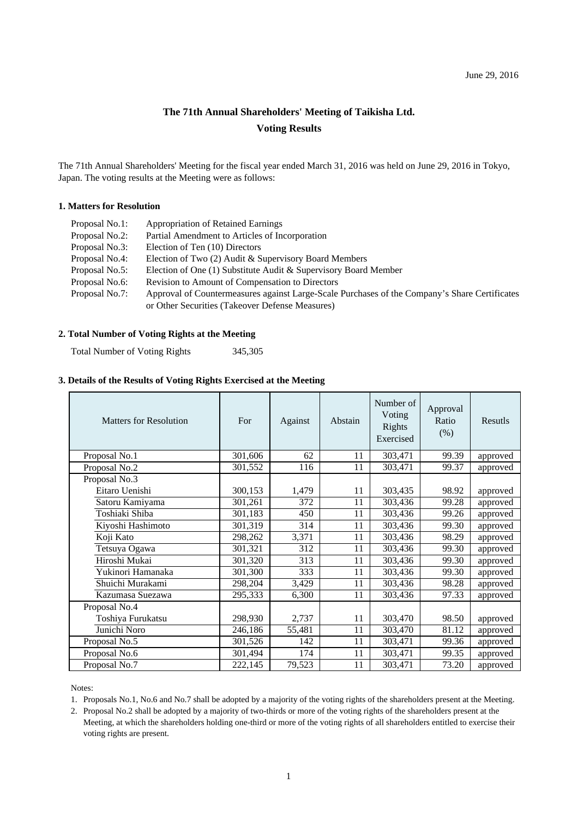## **The 71th Annual Shareholders' Meeting of Taikisha Ltd. Voting Results**

The 71th Annual Shareholders' Meeting for the fiscal year ended March 31, 2016 was held on June 29, 2016 in Tokyo, Japan. The voting results at the Meeting were as follows:

## **1. Matters for Resolution**

| Proposal No.1: | <b>Appropriation of Retained Earnings</b>                                                     |
|----------------|-----------------------------------------------------------------------------------------------|
| Proposal No.2: | Partial Amendment to Articles of Incorporation                                                |
| Proposal No.3: | Election of Ten (10) Directors                                                                |
| Proposal No.4: | Election of Two (2) Audit & Supervisory Board Members                                         |
| Proposal No.5: | Election of One (1) Substitute Audit & Supervisory Board Member                               |
| Proposal No.6: | Revision to Amount of Compensation to Directors                                               |
| Proposal No.7: | Approval of Countermeasures against Large-Scale Purchases of the Company's Share Certificates |
|                | or Other Securities (Takeover Defense Measures)                                               |

## **2. Total Number of Voting Rights at the Meeting**

Total Number of Voting Rights 345,305

## **3. Details of the Results of Voting Rights Exercised at the Meeting**

| <b>Matters for Resolution</b> | For     | Against | Abstain | Number of<br>Voting<br>Rights<br>Exercised | Approval<br>Ratio<br>(% ) | Resutls  |
|-------------------------------|---------|---------|---------|--------------------------------------------|---------------------------|----------|
| Proposal No.1                 | 301,606 | 62      | 11      | 303,471                                    | 99.39                     | approved |
| Proposal No.2                 | 301,552 | 116     | 11      | 303,471                                    | 99.37                     | approved |
| Proposal No.3                 |         |         |         |                                            |                           |          |
| Eitaro Uenishi                | 300,153 | 1,479   | 11      | 303,435                                    | 98.92                     | approved |
| Satoru Kamiyama               | 301,261 | 372     | 11      | 303,436                                    | 99.28                     | approved |
| Toshiaki Shiba                | 301,183 | 450     | 11      | 303,436                                    | 99.26                     | approved |
| Kiyoshi Hashimoto             | 301,319 | 314     | 11      | 303,436                                    | 99.30                     | approved |
| Koji Kato                     | 298,262 | 3,371   | 11      | 303,436                                    | 98.29                     | approved |
| Tetsuya Ogawa                 | 301,321 | 312     | 11      | 303,436                                    | 99.30                     | approved |
| Hiroshi Mukai                 | 301,320 | 313     | 11      | 303,436                                    | 99.30                     | approved |
| Yukinori Hamanaka             | 301,300 | 333     | 11      | 303,436                                    | 99.30                     | approved |
| Shuichi Murakami              | 298,204 | 3,429   | 11      | 303,436                                    | 98.28                     | approved |
| Kazumasa Suezawa              | 295,333 | 6,300   | 11      | 303,436                                    | 97.33                     | approved |
| Proposal No.4                 |         |         |         |                                            |                           |          |
| Toshiya Furukatsu             | 298,930 | 2,737   | 11      | 303,470                                    | 98.50                     | approved |
| Junichi Noro                  | 246,186 | 55,481  | 11      | 303,470                                    | 81.12                     | approved |
| Proposal No.5                 | 301,526 | 142     | 11      | 303,471                                    | 99.36                     | approved |
| Proposal No.6                 | 301,494 | 174     | 11      | 303,471                                    | 99.35                     | approved |
| Proposal No.7                 | 222,145 | 79,523  | 11      | 303,471                                    | 73.20                     | approved |

Notes:

1. Proposals No.1, No.6 and No.7 shall be adopted by a majority of the voting rights of the shareholders present at the Meeting.

2. Proposal No.2 shall be adopted by a majority of two-thirds or more of the voting rights of the shareholders present at the Meeting, at which the shareholders holding one-third or more of the voting rights of all shareholders entitled to exercise their voting rights are present.